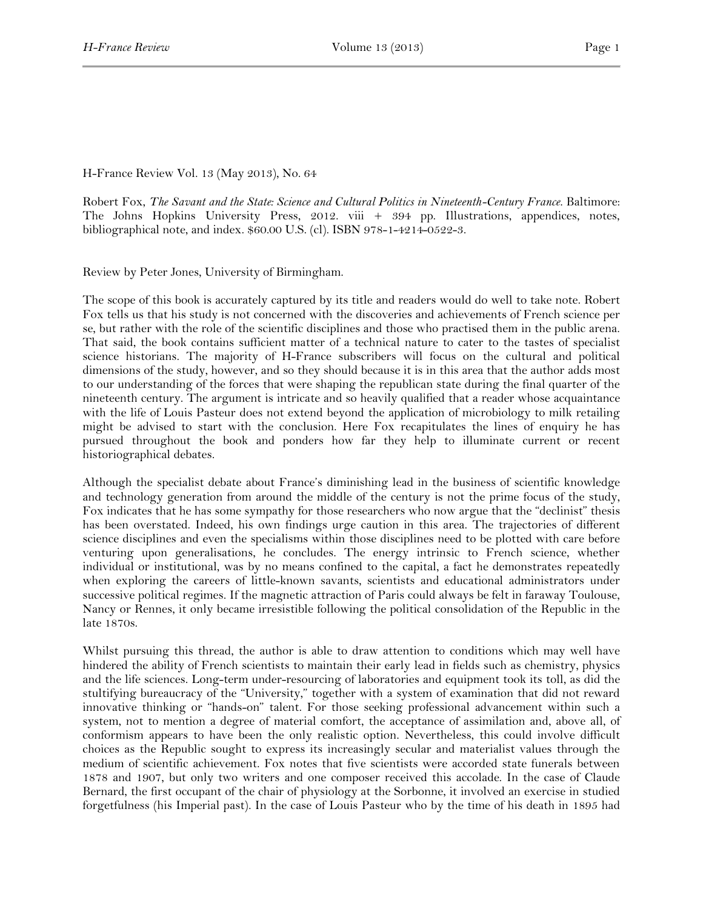## H-France Review Vol. 13 (May 2013), No. 64

Robert Fox, *The Savant and the State: Science and Cultural Politics in Nineteenth-Century France*. Baltimore: The Johns Hopkins University Press, 2012. viii + 394 pp. Illustrations, appendices, notes, bibliographical note, and index. \$60.00 U.S. (cl). ISBN 978-1-4214-0522-3.

Review by Peter Jones, University of Birmingham.

The scope of this book is accurately captured by its title and readers would do well to take note. Robert Fox tells us that his study is not concerned with the discoveries and achievements of French science per se, but rather with the role of the scientific disciplines and those who practised them in the public arena. That said, the book contains sufficient matter of a technical nature to cater to the tastes of specialist science historians. The majority of H-France subscribers will focus on the cultural and political dimensions of the study, however, and so they should because it is in this area that the author adds most to our understanding of the forces that were shaping the republican state during the final quarter of the nineteenth century. The argument is intricate and so heavily qualified that a reader whose acquaintance with the life of Louis Pasteur does not extend beyond the application of microbiology to milk retailing might be advised to start with the conclusion. Here Fox recapitulates the lines of enquiry he has pursued throughout the book and ponders how far they help to illuminate current or recent historiographical debates.

Although the specialist debate about France's diminishing lead in the business of scientific knowledge and technology generation from around the middle of the century is not the prime focus of the study, Fox indicates that he has some sympathy for those researchers who now argue that the "declinist" thesis has been overstated. Indeed, his own findings urge caution in this area. The trajectories of different science disciplines and even the specialisms within those disciplines need to be plotted with care before venturing upon generalisations, he concludes. The energy intrinsic to French science, whether individual or institutional, was by no means confined to the capital, a fact he demonstrates repeatedly when exploring the careers of little-known savants, scientists and educational administrators under successive political regimes. If the magnetic attraction of Paris could always be felt in faraway Toulouse, Nancy or Rennes, it only became irresistible following the political consolidation of the Republic in the late 1870s.

Whilst pursuing this thread, the author is able to draw attention to conditions which may well have hindered the ability of French scientists to maintain their early lead in fields such as chemistry, physics and the life sciences. Long-term under-resourcing of laboratories and equipment took its toll, as did the stultifying bureaucracy of the "University," together with a system of examination that did not reward innovative thinking or "hands-on" talent. For those seeking professional advancement within such a system, not to mention a degree of material comfort, the acceptance of assimilation and, above all, of conformism appears to have been the only realistic option. Nevertheless, this could involve difficult choices as the Republic sought to express its increasingly secular and materialist values through the medium of scientific achievement. Fox notes that five scientists were accorded state funerals between 1878 and 1907, but only two writers and one composer received this accolade. In the case of Claude Bernard, the first occupant of the chair of physiology at the Sorbonne, it involved an exercise in studied forgetfulness (his Imperial past). In the case of Louis Pasteur who by the time of his death in 1895 had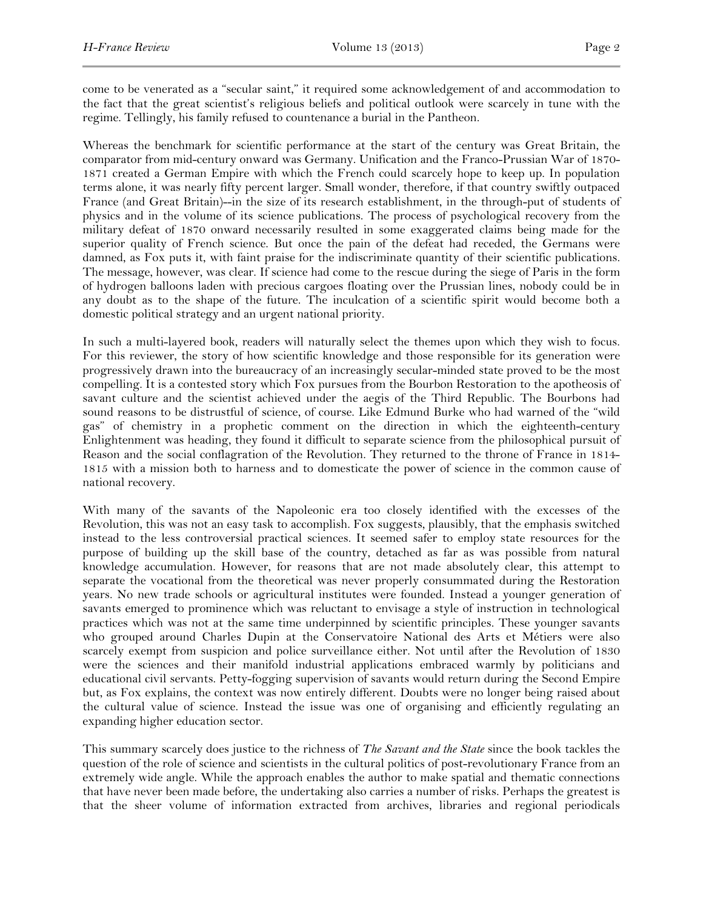come to be venerated as a "secular saint," it required some acknowledgement of and accommodation to the fact that the great scientist's religious beliefs and political outlook were scarcely in tune with the regime. Tellingly, his family refused to countenance a burial in the Pantheon.

Whereas the benchmark for scientific performance at the start of the century was Great Britain, the comparator from mid-century onward was Germany. Unification and the Franco-Prussian War of 1870- 1871 created a German Empire with which the French could scarcely hope to keep up. In population terms alone, it was nearly fifty percent larger. Small wonder, therefore, if that country swiftly outpaced France (and Great Britain)--in the size of its research establishment, in the through-put of students of physics and in the volume of its science publications. The process of psychological recovery from the military defeat of 1870 onward necessarily resulted in some exaggerated claims being made for the superior quality of French science. But once the pain of the defeat had receded, the Germans were damned, as Fox puts it, with faint praise for the indiscriminate quantity of their scientific publications. The message, however, was clear. If science had come to the rescue during the siege of Paris in the form of hydrogen balloons laden with precious cargoes floating over the Prussian lines, nobody could be in any doubt as to the shape of the future. The inculcation of a scientific spirit would become both a domestic political strategy and an urgent national priority.

In such a multi-layered book, readers will naturally select the themes upon which they wish to focus. For this reviewer, the story of how scientific knowledge and those responsible for its generation were progressively drawn into the bureaucracy of an increasingly secular-minded state proved to be the most compelling. It is a contested story which Fox pursues from the Bourbon Restoration to the apotheosis of savant culture and the scientist achieved under the aegis of the Third Republic. The Bourbons had sound reasons to be distrustful of science, of course. Like Edmund Burke who had warned of the "wild gas" of chemistry in a prophetic comment on the direction in which the eighteenth-century Enlightenment was heading, they found it difficult to separate science from the philosophical pursuit of Reason and the social conflagration of the Revolution. They returned to the throne of France in 1814- 1815 with a mission both to harness and to domesticate the power of science in the common cause of national recovery.

With many of the savants of the Napoleonic era too closely identified with the excesses of the Revolution, this was not an easy task to accomplish. Fox suggests, plausibly, that the emphasis switched instead to the less controversial practical sciences. It seemed safer to employ state resources for the purpose of building up the skill base of the country, detached as far as was possible from natural knowledge accumulation. However, for reasons that are not made absolutely clear, this attempt to separate the vocational from the theoretical was never properly consummated during the Restoration years. No new trade schools or agricultural institutes were founded. Instead a younger generation of savants emerged to prominence which was reluctant to envisage a style of instruction in technological practices which was not at the same time underpinned by scientific principles. These younger savants who grouped around Charles Dupin at the Conservatoire National des Arts et Métiers were also scarcely exempt from suspicion and police surveillance either. Not until after the Revolution of 1830 were the sciences and their manifold industrial applications embraced warmly by politicians and educational civil servants. Petty-fogging supervision of savants would return during the Second Empire but, as Fox explains, the context was now entirely different. Doubts were no longer being raised about the cultural value of science. Instead the issue was one of organising and efficiently regulating an expanding higher education sector.

This summary scarcely does justice to the richness of *The Savant and the State* since the book tackles the question of the role of science and scientists in the cultural politics of post-revolutionary France from an extremely wide angle. While the approach enables the author to make spatial and thematic connections that have never been made before, the undertaking also carries a number of risks. Perhaps the greatest is that the sheer volume of information extracted from archives, libraries and regional periodicals